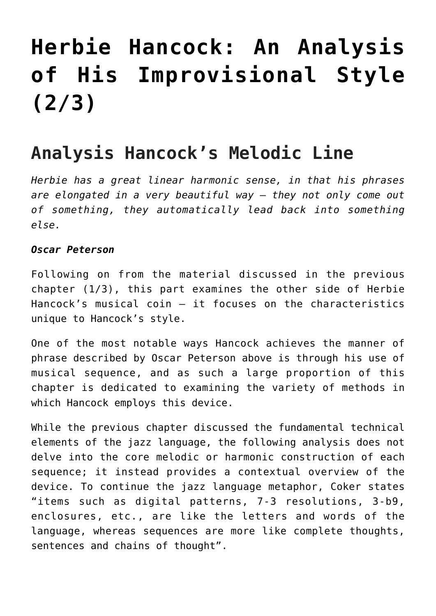# **[Herbie Hancock: An Analysis](https://sheetmusiclibrary.website/2021/09/08/herbie-hancock-sheet-music-2/) [of His Improvisional Style](https://sheetmusiclibrary.website/2021/09/08/herbie-hancock-sheet-music-2/) [\(2/3\)](https://sheetmusiclibrary.website/2021/09/08/herbie-hancock-sheet-music-2/)**

# **Analysis Hancock's Melodic Line**

*Herbie has a great linear harmonic sense, in that his phrases are elongated in a very beautiful way – they not only come out of something, they automatically lead back into something else.*

#### *Oscar Peterson*

Following on from the material discussed in the previous chapter (1/3), this part examines the other side of Herbie Hancock's musical coin – it focuses on the characteristics unique to Hancock's style.

One of the most notable ways Hancock achieves the manner of phrase described by Oscar Peterson above is through his use of musical sequence, and as such a large proportion of this chapter is dedicated to examining the variety of methods in which Hancock employs this device.

While the previous chapter discussed the fundamental technical elements of the jazz language, the following analysis does not delve into the core melodic or harmonic construction of each sequence; it instead provides a contextual overview of the device. To continue the jazz language metaphor, Coker states "items such as digital patterns, 7-3 resolutions, 3-b9, enclosures, etc., are like the letters and words of the language, whereas sequences are more like complete thoughts, sentences and chains of thought".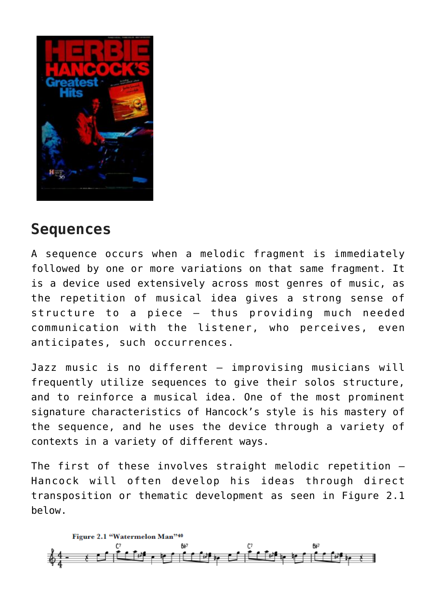

## **Sequences**

A sequence occurs when a melodic fragment is immediately followed by one or more variations on that same fragment. It is a device used extensively across most genres of music, as the repetition of musical idea gives a strong sense of structure to a piece – thus providing much needed communication with the listener, who perceives, even anticipates, such occurrences.

Jazz music is no different – improvising musicians will frequently utilize sequences to give their solos structure, and to reinforce a musical idea. One of the most prominent signature characteristics of Hancock's style is his mastery of the sequence, and he uses the device through a variety of contexts in a variety of different ways.

The first of these involves straight melodic repetition – Hancock will often develop his ideas through direct transposition or thematic development as seen in Figure 2.1 below.

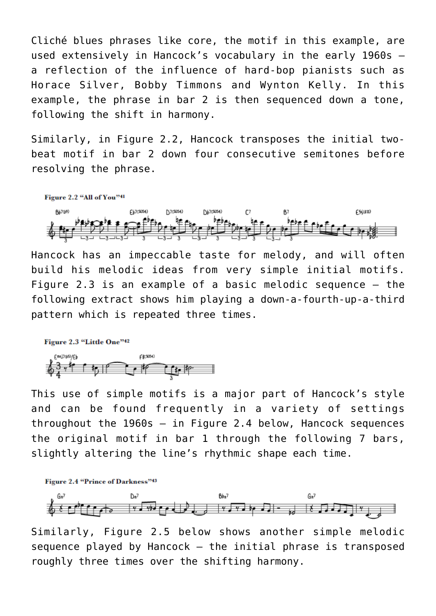Cliché blues phrases like core, the motif in this example, are used extensively in Hancock's vocabulary in the early 1960s – a reflection of the influence of hard-bop pianists such as Horace Silver, Bobby Timmons and Wynton Kelly. In this example, the phrase in bar 2 is then sequenced down a tone, following the shift in harmony.

Similarly, in Figure 2.2, Hancock transposes the initial twobeat motif in bar 2 down four consecutive semitones before resolving the phrase.



Hancock has an impeccable taste for melody, and will often build his melodic ideas from very simple initial motifs. Figure 2.3 is an example of a basic melodic sequence – the following extract shows him playing a down-a-fourth-up-a-third pattern which is repeated three times.

#### Figure 2.3 "Little One"42



This use of simple motifs is a major part of Hancock's style and can be found frequently in a variety of settings throughout the 1960s – in Figure 2.4 below, Hancock sequences the original motif in bar 1 through the following 7 bars, slightly altering the line's rhythmic shape each time.



Similarly, Figure 2.5 below shows another simple melodic sequence played by Hancock – the initial phrase is transposed roughly three times over the shifting harmony.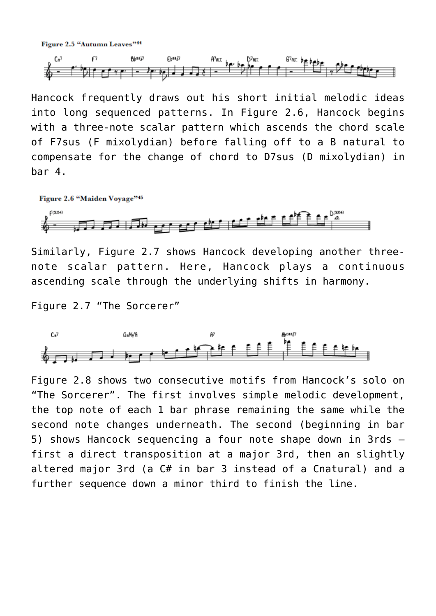Figure 2.5 "Autumn Leaves"<sup>44</sup>



Hancock frequently draws out his short initial melodic ideas into long sequenced patterns. In Figure 2.6, Hancock begins with a three-note scalar pattern which ascends the chord scale of F7sus (F mixolydian) before falling off to a B natural to compensate for the change of chord to D7sus (D mixolydian) in bar 4.



Similarly, Figure 2.7 shows Hancock developing another threenote scalar pattern. Here, Hancock plays a continuous ascending scale through the underlying shifts in harmony.

Figure 2.7 "The Sorcerer"



Figure 2.8 shows two consecutive motifs from Hancock's solo on "The Sorcerer". The first involves simple melodic development, the top note of each 1 bar phrase remaining the same while the second note changes underneath. The second (beginning in bar 5) shows Hancock sequencing a four note shape down in 3rds – first a direct transposition at a major 3rd, then an slightly altered major 3rd (a C# in bar 3 instead of a Cnatural) and a further sequence down a minor third to finish the line.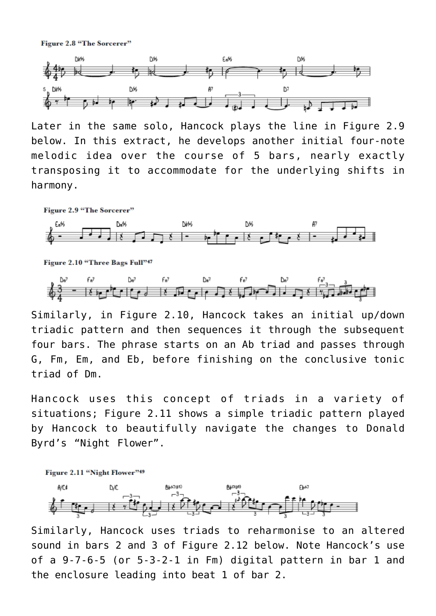Figure 2.8 "The Sorcerer"



Later in the same solo, Hancock plays the line in Figure 2.9 below. In this extract, he develops another initial four-note melodic idea over the course of 5 bars, nearly exactly transposing it to accommodate for the underlying shifts in harmony.





Figure 2.10 "Three Bags Full"47



Similarly, in Figure 2.10, Hancock takes an initial up/down triadic pattern and then sequences it through the subsequent four bars. The phrase starts on an Ab triad and passes through G, Fm, Em, and Eb, before finishing on the conclusive tonic triad of Dm.

Hancock uses this concept of triads in a variety of situations; Figure 2.11 shows a simple triadic pattern played by Hancock to beautifully navigate the changes to Donald Byrd's "Night Flower".



Similarly, Hancock uses triads to reharmonise to an altered sound in bars 2 and 3 of Figure 2.12 below. Note Hancock's use of a 9-7-6-5 (or 5-3-2-1 in Fm) digital pattern in bar 1 and the enclosure leading into beat 1 of bar 2.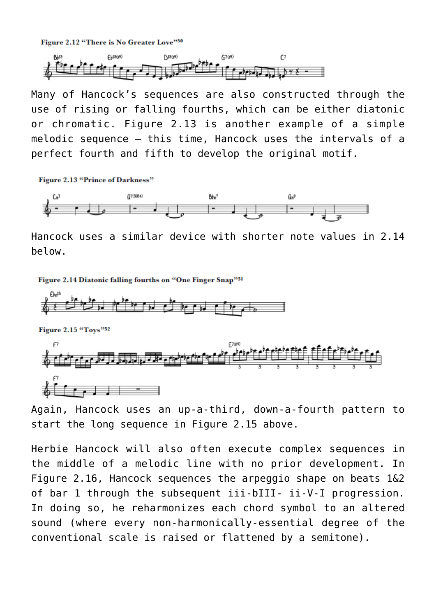Figure 2.12 "There is No Greater Love"50



Many of Hancock's sequences are also constructed through the use of rising or falling fourths, which can be either diatonic or chromatic. Figure 2.13 is another example of a simple melodic sequence – this time, Hancock uses the intervals of a perfect fourth and fifth to develop the original motif.

**Figure 2.13 "Prince of Darkness"** 



Hancock uses a similar device with shorter note values in 2.14 below.

Figure 2.14 Diatonic falling fourths on "One Finger Snap"51



Again, Hancock uses an up-a-third, down-a-fourth pattern to start the long sequence in Figure 2.15 above.

Herbie Hancock will also often execute complex sequences in the middle of a melodic line with no prior development. In Figure 2.16, Hancock sequences the arpeggio shape on beats 1&2 of bar 1 through the subsequent iii-bIII- ii-V-I progression. In doing so, he reharmonizes each chord symbol to an altered sound (where every non-harmonically-essential degree of the conventional scale is raised or flattened by a semitone).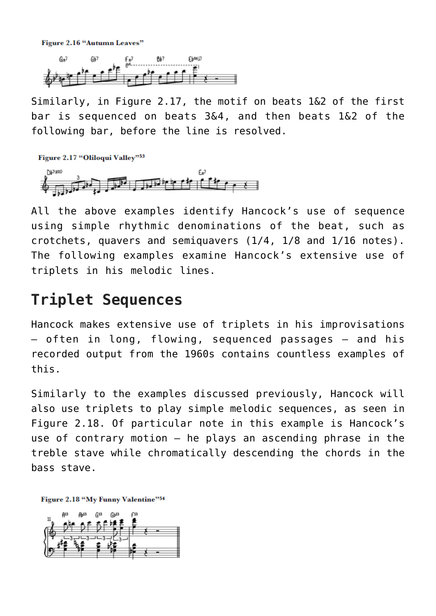Figure 2.16 "Autumn Leaves"



Similarly, in Figure 2.17, the motif on beats 1&2 of the first bar is sequenced on beats 3&4, and then beats 1&2 of the following bar, before the line is resolved.

Figure 2.17 "Oliloqui Valley"53



All the above examples identify Hancock's use of sequence using simple rhythmic denominations of the beat, such as crotchets, quavers and semiquavers (1/4, 1/8 and 1/16 notes). The following examples examine Hancock's extensive use of triplets in his melodic lines.

## **Triplet Sequences**

Hancock makes extensive use of triplets in his improvisations – often in long, flowing, sequenced passages – and his recorded output from the 1960s contains countless examples of this.

Similarly to the examples discussed previously, Hancock will also use triplets to play simple melodic sequences, as seen in Figure 2.18. Of particular note in this example is Hancock's use of contrary motion – he plays an ascending phrase in the treble stave while chromatically descending the chords in the bass stave.

Figure 2.18 "My Funny Valentine"54

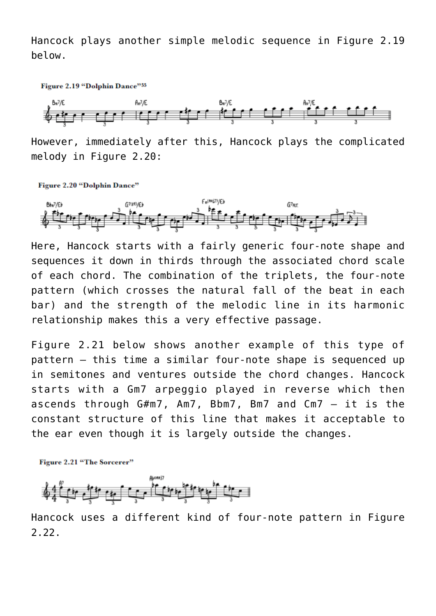Hancock plays another simple melodic sequence in Figure 2.19 below.

Figure 2.19 "Dolphin Dance"55



However, immediately after this, Hancock plays the complicated melody in Figure 2.20:

**Figure 2.20 "Dolphin Dance"** 



Here, Hancock starts with a fairly generic four-note shape and sequences it down in thirds through the associated chord scale of each chord. The combination of the triplets, the four-note pattern (which crosses the natural fall of the beat in each bar) and the strength of the melodic line in its harmonic relationship makes this a very effective passage.

Figure 2.21 below shows another example of this type of pattern – this time a similar four-note shape is sequenced up in semitones and ventures outside the chord changes. Hancock starts with a Gm7 arpeggio played in reverse which then ascends through G#m7, Am7, Bbm7, Bm7 and Cm7 – it is the constant structure of this line that makes it acceptable to the ear even though it is largely outside the changes.

Figure 2.21 "The Sorcerer"



Hancock uses a different kind of four-note pattern in Figure 2.22.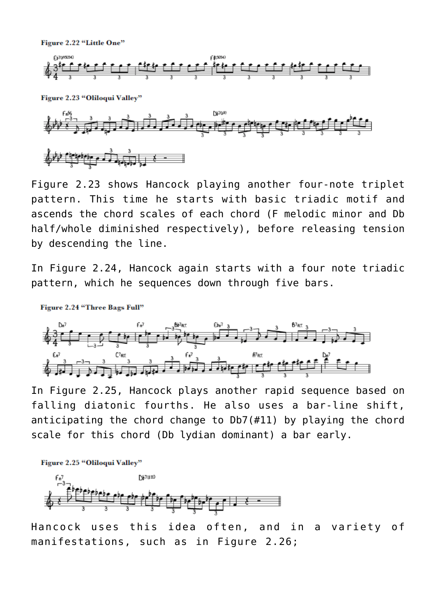Figure 2.22 "Little One"



Figure 2.23 "Oliloqui Valley"



Figure 2.23 shows Hancock playing another four-note triplet pattern. This time he starts with basic triadic motif and ascends the chord scales of each chord (F melodic minor and Db half/whole diminished respectively), before releasing tension by descending the line.

In Figure 2.24, Hancock again starts with a four note triadic pattern, which he sequences down through five bars.



In Figure 2.25, Hancock plays another rapid sequence based on falling diatonic fourths. He also uses a bar-line shift, anticipating the chord change to Db7(#11) by playing the chord scale for this chord (Db lydian dominant) a bar early.

Figure 2.25 "Oliloqui Valley"

Figure 2.24 "Three Bags Full"



Hancock uses this idea often, and in a variety of manifestations, such as in Figure 2.26;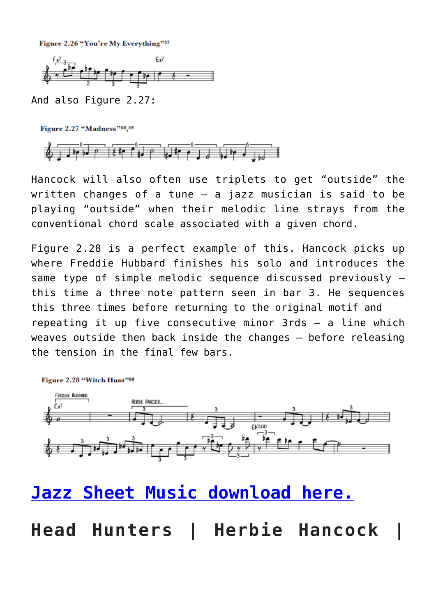Figure 2.26 "You're My Everything"57



And also Figure 2.27:

Figure 2.27 "Madness"58.59



Hancock will also often use triplets to get "outside" the written changes of a tune – a jazz musician is said to be playing "outside" when their melodic line strays from the conventional chord scale associated with a given chord.

Figure 2.28 is a perfect example of this. Hancock picks up where Freddie Hubbard finishes his solo and introduces the same type of simple melodic sequence discussed previously – this time a three note pattern seen in bar 3. He sequences this three times before returning to the original motif and repeating it up five consecutive minor 3rds – a line which weaves outside then back inside the changes – before releasing the tension in the final few bars.



# **[Jazz Sheet Music download here.](https://sheetmusiclibrary.website)**

**Head Hunters | Herbie Hancock |**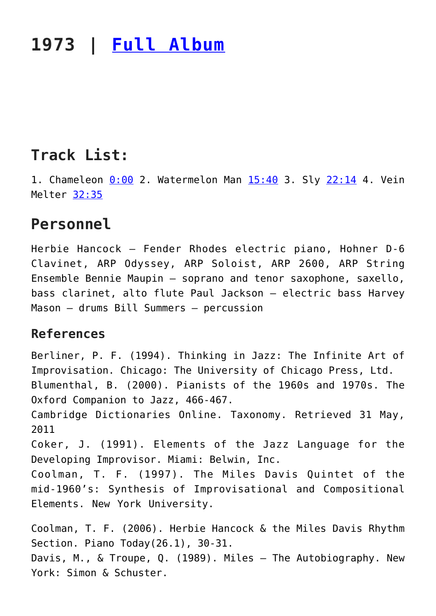# **1973 | [Full Album](https://www.youtube.com/watch?v=3m3qOD-hhrQ)**

# **Track List:**

1. Chameleon [0:00](https://www.youtube.com/watch?v=3m3qOD-hhrQ&t=0s) 2. Watermelon Man [15:40](https://www.youtube.com/watch?v=3m3qOD-hhrQ&t=940s) 3. Sly [22:14](https://www.youtube.com/watch?v=3m3qOD-hhrQ&t=1334s) 4. Vein Melter [32:35](https://www.youtube.com/watch?v=3m3qOD-hhrQ&t=1955s)

### **Personnel**

Herbie Hancock – Fender Rhodes electric piano, Hohner D-6 Clavinet, ARP Odyssey, ARP Soloist, ARP 2600, ARP String Ensemble Bennie Maupin – soprano and tenor saxophone, saxello, bass clarinet, alto flute Paul Jackson – electric bass Harvey Mason – drums Bill Summers – percussion

#### **References**

Berliner, P. F. (1994). Thinking in Jazz: The Infinite Art of Improvisation. Chicago: The University of Chicago Press, Ltd. Blumenthal, B. (2000). Pianists of the 1960s and 1970s. The Oxford Companion to Jazz, 466-467. Cambridge Dictionaries Online. Taxonomy. Retrieved 31 May, 2011 Coker, J. (1991). Elements of the Jazz Language for the Developing Improvisor. Miami: Belwin, Inc. Coolman, T. F. (1997). The Miles Davis Quintet of the mid-1960's: Synthesis of Improvisational and Compositional Elements. New York University. Coolman, T. F. (2006). Herbie Hancock & the Miles Davis Rhythm

Section. Piano Today(26.1), 30-31. Davis, M., & Troupe, Q. (1989). Miles – The Autobiography. New York: Simon & Schuster.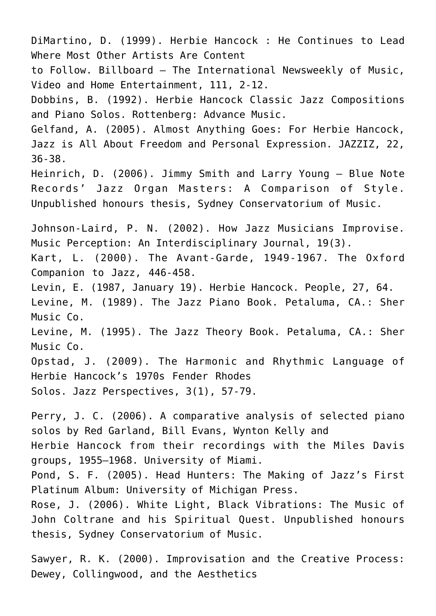DiMartino, D. (1999). Herbie Hancock : He Continues to Lead Where Most Other Artists Are Content to Follow. Billboard – The International Newsweekly of Music, Video and Home Entertainment, 111, 2-12. Dobbins, B. (1992). Herbie Hancock Classic Jazz Compositions and Piano Solos. Rottenberg: Advance Music. Gelfand, A. (2005). Almost Anything Goes: For Herbie Hancock, Jazz is All About Freedom and Personal Expression. JAZZIZ, 22, 36-38. Heinrich, D. (2006). Jimmy Smith and Larry Young – Blue Note Records' Jazz Organ Masters: A Comparison of Style. Unpublished honours thesis, Sydney Conservatorium of Music. Johnson-Laird, P. N. (2002). How Jazz Musicians Improvise. Music Perception: An Interdisciplinary Journal, 19(3). Kart, L. (2000). The Avant-Garde, 1949-1967. The Oxford Companion to Jazz, 446-458. Levin, E. (1987, January 19). Herbie Hancock. People, 27, 64. Levine, M. (1989). The Jazz Piano Book. Petaluma, CA.: Sher Music Co. Levine, M. (1995). The Jazz Theory Book. Petaluma, CA.: Sher Music Co. Opstad, J. (2009). The Harmonic and Rhythmic Language of Herbie Hancock's 1970s Fender Rhodes Solos. Jazz Perspectives, 3(1), 57-79.

Perry, J. C. (2006). A comparative analysis of selected piano solos by Red Garland, Bill Evans, Wynton Kelly and Herbie Hancock from their recordings with the Miles Davis groups, 1955–1968. University of Miami. Pond, S. F. (2005). Head Hunters: The Making of Jazz's First Platinum Album: University of Michigan Press. Rose, J. (2006). White Light, Black Vibrations: The Music of John Coltrane and his Spiritual Quest. Unpublished honours thesis, Sydney Conservatorium of Music.

Sawyer, R. K. (2000). Improvisation and the Creative Process: Dewey, Collingwood, and the Aesthetics